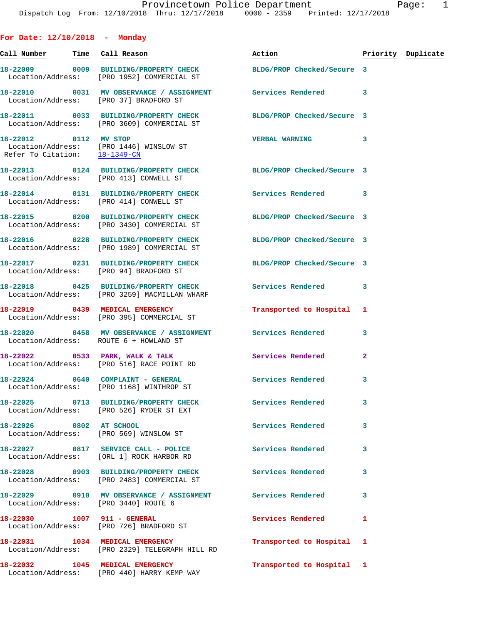| For Date: $12/10/2018$ - Monday           |                                                                                                                |                            |                |                    |
|-------------------------------------------|----------------------------------------------------------------------------------------------------------------|----------------------------|----------------|--------------------|
| Call Number <mark>Time</mark> Call Reason |                                                                                                                | Action <b>Action</b>       |                | Priority Duplicate |
|                                           | 18-22009 0009 BUILDING/PROPERTY CHECK<br>Location/Address: [PRO 1952] COMMERCIAL ST                            | BLDG/PROP Checked/Secure 3 |                |                    |
|                                           | 18-22010 0031 MV OBSERVANCE / ASSIGNMENT Services Rendered<br>Location/Address: [PRO 37] BRADFORD ST           |                            | -3             |                    |
|                                           | 18-22011 0033 BUILDING/PROPERTY CHECK<br>Location/Address: [PRO 3609] COMMERCIAL ST                            | BLDG/PROP Checked/Secure 3 |                |                    |
| Refer To Citation: 18-1349-CN             | 18-22012 0112 MV STOP<br>Location/Address: [PRO 1446] WINSLOW ST                                               | <b>VERBAL WARNING</b>      | 3              |                    |
|                                           | 18-22013 0124 BUILDING/PROPERTY CHECK BLDG/PROP Checked/Secure 3<br>Location/Address: [PRO 413] CONWELL ST     |                            |                |                    |
|                                           | 18-22014 0131 BUILDING/PROPERTY CHECK Services Rendered 3<br>Location/Address: [PRO 414] CONWELL ST            |                            |                |                    |
|                                           | 18-22015 0200 BUILDING/PROPERTY CHECK BLDG/PROP Checked/Secure 3<br>Location/Address: [PRO 3430] COMMERCIAL ST |                            |                |                    |
|                                           | 18-22016 0228 BUILDING/PROPERTY CHECK<br>Location/Address: [PRO 1989] COMMERCIAL ST                            | BLDG/PROP Checked/Secure 3 |                |                    |
|                                           | 18-22017 0231 BUILDING/PROPERTY CHECK BLDG/PROP Checked/Secure 3<br>Location/Address: [PRO 94] BRADFORD ST     |                            |                |                    |
|                                           | 18-22018 0425 BUILDING/PROPERTY CHECK<br>Location/Address: [PRO 3259] MACMILLAN WHARF                          | Services Rendered 3        |                |                    |
|                                           | 18-22019 0439 MEDICAL EMERGENCY<br>Location/Address: [PRO 395] COMMERCIAL ST                                   | Transported to Hospital    | 1              |                    |
|                                           | 18-22020 0458 MV OBSERVANCE / ASSIGNMENT Services Rendered<br>Location/Address: ROUTE 6 + HOWLAND ST           |                            | 3              |                    |
|                                           | 18-22022 0533 PARK, WALK & TALK<br>Location/Address: [PRO 516] RACE POINT RD                                   | Services Rendered          | $\overline{a}$ |                    |
|                                           | 18-22024 0640 COMPLAINT - GENERAL<br>Location/Address: [PRO 1168] WINTHROP ST                                  | Services Rendered          | -3             |                    |
|                                           | 18-22025 0713 BUILDING/PROPERTY CHECK Services Rendered<br>Location/Address: [PRO 526] RYDER ST EXT            |                            | 3              |                    |
| 18-22026 0802 AT SCHOOL                   | Location/Address: [PRO 569] WINSLOW ST                                                                         | Services Rendered          | 3              |                    |
|                                           | 18-22027 0817 SERVICE CALL - POLICE<br>Location/Address: [ORL 1] ROCK HARBOR RD                                | <b>Services Rendered</b>   | 3              |                    |
|                                           | 18-22028 0903 BUILDING/PROPERTY CHECK Services Rendered<br>Location/Address: [PRO 2483] COMMERCIAL ST          |                            | 3              |                    |
|                                           | 18-22029 0910 MV OBSERVANCE / ASSIGNMENT Services Rendered<br>Location/Address: [PRO 3440] ROUTE 6             |                            | 3              |                    |
|                                           | Location/Address: [PRO 726] BRADFORD ST                                                                        | Services Rendered          | 1              |                    |
|                                           | 18-22031 1034 MEDICAL EMERGENCY<br>Location/Address: [PRO 2329] TELEGRAPH HILL RD                              | Transported to Hospital    | 1              |                    |
|                                           | 18-22032 1045 MEDICAL EMERGENCY<br>Location/Address: [PRO 440] HARRY KEMP WAY                                  | Transported to Hospital 1  |                |                    |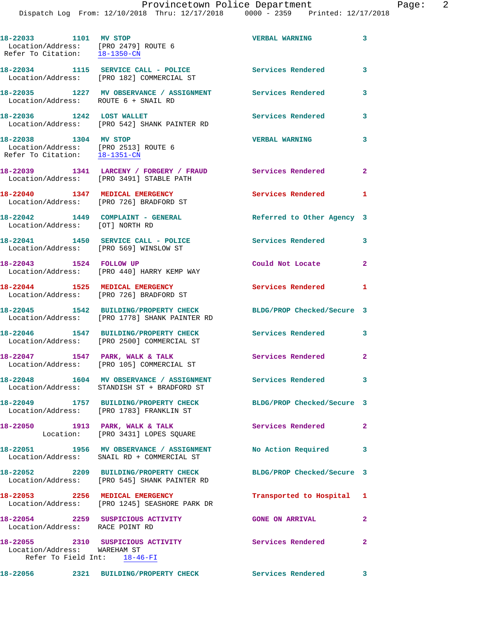**18-22033 1101 MV STOP VERBAL WARNING 3**  Location/Address: [PRO 2479] ROUTE 6 Refer To Citation: 18-1350-CN **18-22034 1115 SERVICE CALL - POLICE Services Rendered 3**  Location/Address: [PRO 182] COMMERCIAL ST **18-22035 1227 MV OBSERVANCE / ASSIGNMENT Services Rendered 3**  Location/Address: ROUTE 6 + SNAIL RD **18-22036 1242 LOST WALLET Services Rendered 3**  Location/Address: [PRO 542] SHANK PAINTER RD **18-22038 1304 MV STOP VERBAL WARNING 3**  Location/Address: [PRO 2513] ROUTE 6 Refer To Citation: 18-1351-CN **18-22039 1341 LARCENY / FORGERY / FRAUD Services Rendered 2**  Location/Address: [PRO 3491] STABLE PATH **18-22040 1347 MEDICAL EMERGENCY Services Rendered 1**  Location/Address: [PRO 726] BRADFORD ST **18-22042 1449 COMPLAINT - GENERAL Referred to Other Agency 3**  Location/Address: [OT] NORTH RD **18-22041 1450 SERVICE CALL - POLICE Services Rendered 3**  Location/Address: [PRO 569] WINSLOW ST **18-22043 1524 FOLLOW UP Could Not Locate 2**  Location/Address: [PRO 440] HARRY KEMP WAY **18-22044 1525 MEDICAL EMERGENCY Services Rendered 1**  Location/Address: [PRO 726] BRADFORD ST **18-22045 1542 BUILDING/PROPERTY CHECK BLDG/PROP Checked/Secure 3**  Location/Address: [PRO 1778] SHANK PAINTER RD **18-22046 1547 BUILDING/PROPERTY CHECK Services Rendered 3**  Location/Address: [PRO 2500] COMMERCIAL ST **18-22047 1547 PARK, WALK & TALK Services Rendered 2**  Location/Address: [PRO 105] COMMERCIAL ST **18-22048 1604 MV OBSERVANCE / ASSIGNMENT Services Rendered 3**  Location/Address: STANDISH ST + BRADFORD ST **18-22049 1757 BUILDING/PROPERTY CHECK BLDG/PROP Checked/Secure 3**  Location/Address: [PRO 1783] FRANKLIN ST 18-22050 1913 PARK, WALK & TALK **Services Rendered** 2 Location: [PRO 3431] LOPES SQUARE **18-22051 1956 MV OBSERVANCE / ASSIGNMENT No Action Required 3**  Location/Address: SNAIL RD + COMMERCIAL ST **18-22052 2209 BUILDING/PROPERTY CHECK BLDG/PROP Checked/Secure 3**  Location/Address: [PRO 545] SHANK PAINTER RD **18-22053 2256 MEDICAL EMERGENCY Transported to Hospital 1**  Location/Address: [PRO 1245] SEASHORE PARK DR **18-22054 2259 SUSPICIOUS ACTIVITY GONE ON ARRIVAL 2**  Location/Address: RACE POINT RD **18-22055 2310 SUSPICIOUS ACTIVITY Services Rendered 2**  Location/Address: WAREHAM ST Refer To Field Int: 18-46-FI **18-22056 2321 BUILDING/PROPERTY CHECK Services Rendered 3**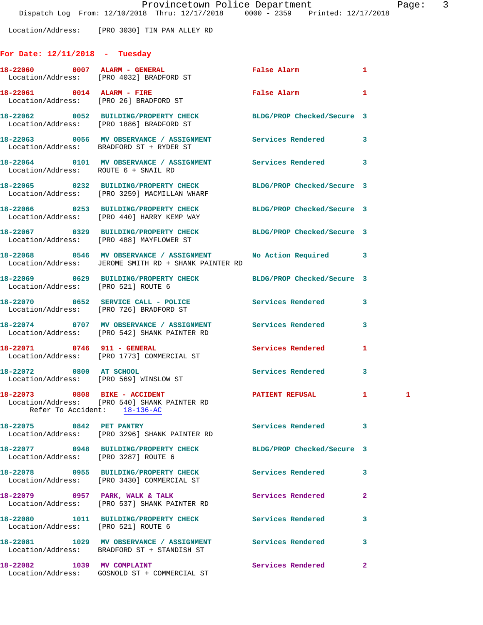Location/Address: [PRO 3030] TIN PAN ALLEY RD

# **For Date: 12/11/2018 - Tuesday**

|                                      | 18-22060 0007 ALARM - GENERAL<br>Location/Address: [PRO 4032] BRADFORD ST                                     | <b>False Alarm</b>         | 1                 |  |
|--------------------------------------|---------------------------------------------------------------------------------------------------------------|----------------------------|-------------------|--|
| 18-22061 0014 ALARM - FIRE           | Location/Address: [PRO 26] BRADFORD ST                                                                        | False Alarm                | 1                 |  |
|                                      | 18-22062 0052 BUILDING/PROPERTY CHECK BLDG/PROP Checked/Secure 3<br>Location/Address: [PRO 1886] BRADFORD ST  |                            |                   |  |
|                                      | 18-22063 0056 MV OBSERVANCE / ASSIGNMENT<br>Location/Address: BRADFORD ST + RYDER ST                          | Services Rendered          | 3                 |  |
| Location/Address: ROUTE 6 + SNAIL RD | 18-22064 0101 MV OBSERVANCE / ASSIGNMENT Services Rendered                                                    |                            | 3                 |  |
|                                      | 18-22065 0232 BUILDING/PROPERTY CHECK<br>Location/Address: [PRO 3259] MACMILLAN WHARF                         | BLDG/PROP Checked/Secure 3 |                   |  |
|                                      | 18-22066 0253 BUILDING/PROPERTY CHECK<br>Location/Address: [PRO 440] HARRY KEMP WAY                           | BLDG/PROP Checked/Secure 3 |                   |  |
|                                      | 18-22067 0329 BUILDING/PROPERTY CHECK<br>Location/Address: [PRO 488] MAYFLOWER ST                             | BLDG/PROP Checked/Secure 3 |                   |  |
|                                      | 18-22068 0546 MV OBSERVANCE / ASSIGNMENT<br>Location/Address: JEROME SMITH RD + SHANK PAINTER RD              | <b>No Action Required</b>  | 3                 |  |
| Location/Address: [PRO 521] ROUTE 6  | 18-22069 0629 BUILDING/PROPERTY CHECK BLDG/PROP Checked/Secure 3                                              |                            |                   |  |
|                                      | 18-22070 0652 SERVICE CALL - POLICE<br>Location/Address: [PRO 726] BRADFORD ST                                | Services Rendered          | 3                 |  |
|                                      | 18-22074 0707 MV OBSERVANCE / ASSIGNMENT<br>Location/Address: [PRO 542] SHANK PAINTER RD                      | Services Rendered          | 3                 |  |
|                                      | 18-22071 0746 911 - GENERAL<br>Location/Address: [PRO 1773] COMMERCIAL ST                                     | Services Rendered          | 1                 |  |
| 18-22072 0800 AT SCHOOL              | Location/Address: [PRO 569] WINSLOW ST                                                                        | Services Rendered          | 3                 |  |
|                                      | 18-22073 0808 BIKE - ACCIDENT<br>Location/Address: [PRO 540] SHANK PAINTER RD<br>Refer To Accident: 18-136-AC | PATIENT REFUSAL            | $\mathbf{1}$<br>1 |  |
| 18-22075 0842 PET PANTRY             | Location/Address: [PRO 3296] SHANK PAINTER RD                                                                 | <b>Services Rendered</b>   | 3                 |  |
| Location/Address: [PRO 3287] ROUTE 6 | 18-22077 0948 BUILDING/PROPERTY CHECK                                                                         | BLDG/PROP Checked/Secure 3 |                   |  |
|                                      | 18-22078 0955 BUILDING/PROPERTY CHECK<br>Location/Address: [PRO 3430] COMMERCIAL ST                           | Services Rendered          | 3                 |  |
|                                      | 18-22079 0957 PARK, WALK & TALK<br>Location/Address: [PRO 537] SHANK PAINTER RD                               | Services Rendered          | $\overline{a}$    |  |
| Location/Address: [PRO 521] ROUTE 6  | 18-22080 1011 BUILDING/PROPERTY CHECK                                                                         | <b>Services Rendered</b>   | 3                 |  |
|                                      | 18-22081 1029 MV OBSERVANCE / ASSIGNMENT<br>Location/Address: BRADFORD ST + STANDISH ST                       | Services Rendered          | 3                 |  |
| 18-22082 1039 MV COMPLAINT           | Location/Address: GOSNOLD ST + COMMERCIAL ST                                                                  | Services Rendered          | 2                 |  |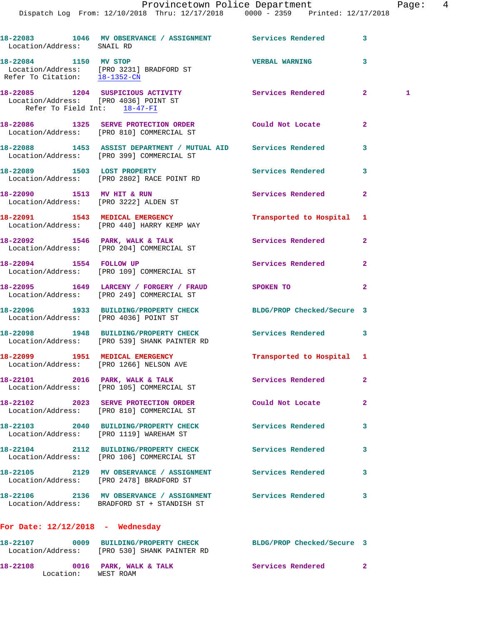Dispatch Log From: 12/10/2018 Thru: 12/17/2018 0000 - 2359 Printed: 12/17/2018

18-22083 1046 MV OBSERVANCE / ASSIGNMENT Services Rendered 3 Location/Address: SNAIL RD **18-22084 1150 MV STOP VERBAL WARNING 3**  Location/Address: [PRO 3231] BRADFORD ST Refer To Citation:  $\frac{18-1352-CN}{2}$ **18-22085 1204 SUSPICIOUS ACTIVITY Services Rendered 2 1**  Location/Address: [PRO 4036] POINT ST Refer To Field Int: 18-47-FI **18-22086 1325 SERVE PROTECTION ORDER Could Not Locate 2**  Location/Address: [PRO 810] COMMERCIAL ST **18-22088 1453 ASSIST DEPARTMENT / MUTUAL AID Services Rendered 3**  Location/Address: [PRO 399] COMMERCIAL ST 18-22089 1503 LOST PROPERTY **18-22089** Services Rendered 3 Location/Address: [PRO 2802] RACE POINT RD **18-22090 1513 MV HIT & RUN Services Rendered 2**  Location/Address: [PRO 3222] ALDEN ST **18-22091 1543 MEDICAL EMERGENCY Transported to Hospital 1**  Location/Address: [PRO 440] HARRY KEMP WAY 18-22092 1546 PARK, WALK & TALK **Services Rendered** 2 Location/Address: [PRO 204] COMMERCIAL ST **18-22094 1554 FOLLOW UP Services Rendered 2**  Location/Address: [PRO 109] COMMERCIAL ST **18-22095 1649 LARCENY / FORGERY / FRAUD SPOKEN TO 2**  Location/Address: [PRO 249] COMMERCIAL ST **18-22096 1933 BUILDING/PROPERTY CHECK BLDG/PROP Checked/Secure 3**  Location/Address: [PRO 4036] POINT ST **18-22098 1948 BUILDING/PROPERTY CHECK Services Rendered 3**  Location/Address: [PRO 539] SHANK PAINTER RD **18-22099 1951 MEDICAL EMERGENCY Transported to Hospital 1**  Location/Address: [PRO 1266] NELSON AVE 18-22101 2016 PARK, WALK & TALK Services Rendered 2 Location/Address: [PRO 105] COMMERCIAL ST **18-22102 2023 SERVE PROTECTION ORDER Could Not Locate 2**  Location/Address: [PRO 810] COMMERCIAL ST **18-22103 2040 BUILDING/PROPERTY CHECK Services Rendered 3**  Location/Address: [PRO 1119] WAREHAM ST **18-22104 2112 BUILDING/PROPERTY CHECK Services Rendered 3**  Location/Address: [PRO 106] COMMERCIAL ST **18-22105 2129 MV OBSERVANCE / ASSIGNMENT Services Rendered 3**  Location/Address: [PRO 2478] BRADFORD ST **18-22106 2136 MV OBSERVANCE / ASSIGNMENT Services Rendered 3**  Location/Address: BRADFORD ST + STANDISH ST **For Date: 12/12/2018 - Wednesday 18-22107 0009 BUILDING/PROPERTY CHECK BLDG/PROP Checked/Secure 3**  Location/Address: [PRO 530] SHANK PAINTER RD

18-22108 0016 PARK, WALK & TALK **Services Rendered** 2 Location: WEST ROAM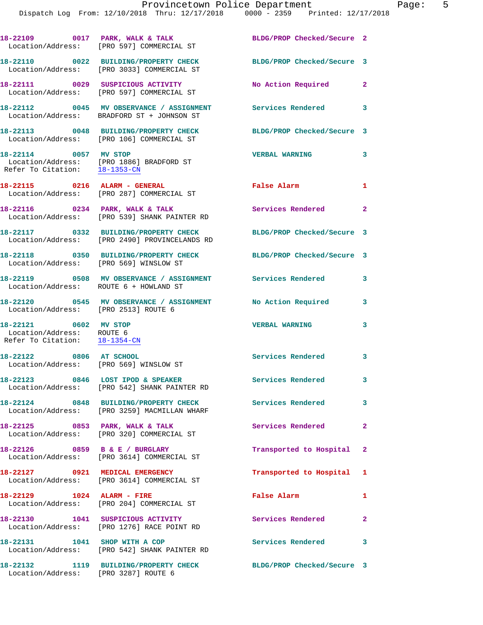|                                                                                     | 18-22109 0017 PARK, WALK & TALK<br>Location/Address: [PRO 597] COMMERCIAL ST           | BLDG/PROP Checked/Secure 2 |              |
|-------------------------------------------------------------------------------------|----------------------------------------------------------------------------------------|----------------------------|--------------|
|                                                                                     | 18-22110 0022 BUILDING/PROPERTY CHECK<br>Location/Address: [PRO 3033] COMMERCIAL ST    | BLDG/PROP Checked/Secure 3 |              |
|                                                                                     | 18-22111 0029 SUSPICIOUS ACTIVITY<br>Location/Address: [PRO 597] COMMERCIAL ST         | No Action Required         | $\mathbf{2}$ |
|                                                                                     | 18-22112 0045 MV OBSERVANCE / ASSIGNMENT<br>Location/Address: BRADFORD ST + JOHNSON ST | Services Rendered 3        |              |
|                                                                                     | 18-22113 0048 BUILDING/PROPERTY CHECK<br>Location/Address: [PRO 106] COMMERCIAL ST     | BLDG/PROP Checked/Secure 3 |              |
| 18-22114 0057 MV STOP<br>Refer To Citation: 18-1353-CN                              | Location/Address: [PRO 1886] BRADFORD ST                                               | <b>VERBAL WARNING</b>      | 3            |
|                                                                                     | 18-22115 0216 ALARM - GENERAL<br>Location/Address: [PRO 287] COMMERCIAL ST             | False Alarm                | $\mathbf{1}$ |
|                                                                                     | 18-22116 0234 PARK, WALK & TALK<br>Location/Address: [PRO 539] SHANK PAINTER RD        | Services Rendered 2        |              |
|                                                                                     | 18-22117 0332 BUILDING/PROPERTY CHECK<br>Location/Address: [PRO 2490] PROVINCELANDS RD | BLDG/PROP Checked/Secure 3 |              |
| Location/Address: [PRO 569] WINSLOW ST                                              | 18-22118 0350 BUILDING/PROPERTY CHECK BLDG/PROP Checked/Secure 3                       |                            |              |
| Location/Address: ROUTE 6 + HOWLAND ST                                              | 18-22119 0508 MV OBSERVANCE / ASSIGNMENT Services Rendered                             |                            | 3            |
| Location/Address: [PRO 2513] ROUTE 6                                                | 18-22120 0545 MV OBSERVANCE / ASSIGNMENT No Action Required                            |                            | 3            |
| 18-22121 0602 MV STOP<br>Location/Address: ROUTE 6<br>Refer To Citation: 18-1354-CN |                                                                                        | <b>VERBAL WARNING</b>      | 3            |
| 18-22122 0806 AT SCHOOL<br>Location/Address: [PRO 569] WINSLOW ST                   |                                                                                        | Services Rendered 3        |              |
|                                                                                     | 18-22123 0846 LOST IPOD & SPEAKER<br>Location/Address: [PRO 542] SHANK PAINTER RD      | <b>Services Rendered</b>   |              |
|                                                                                     | 18-22124 0848 BUILDING/PROPERTY CHECK<br>Location/Address: [PRO 3259] MACMILLAN WHARF  | <b>Services Rendered</b> 3 |              |
|                                                                                     | 18-22125 0853 PARK, WALK & TALK<br>Location/Address: [PRO 320] COMMERCIAL ST           | Services Rendered          | $\mathbf{2}$ |
|                                                                                     | 18-22126 0859 B & E / BURGLARY<br>Location/Address: [PRO 3614] COMMERCIAL ST           | Transported to Hospital 2  |              |
| 18-22127 0921 MEDICAL EMERGENCY                                                     | Location/Address: [PRO 3614] COMMERCIAL ST                                             | Transported to Hospital 1  |              |
|                                                                                     | 18-22129 1024 ALARM - FIRE<br>Location/Address: [PRO 204] COMMERCIAL ST                | False Alarm                | 1            |
|                                                                                     | 18-22130 1041 SUSPICIOUS ACTIVITY<br>Location/Address: [PRO 1276] RACE POINT RD        | <b>Services Rendered</b> 2 |              |
|                                                                                     | 18-22131 1041 SHOP WITH A COP<br>Location/Address: [PRO 542] SHANK PAINTER RD          | <b>Services Rendered</b>   | 3            |
|                                                                                     | 18-22132 1119 BUILDING/PROPERTY CHECK                                                  | BLDG/PROP Checked/Secure 3 |              |

Location/Address: [PRO 3287] ROUTE 6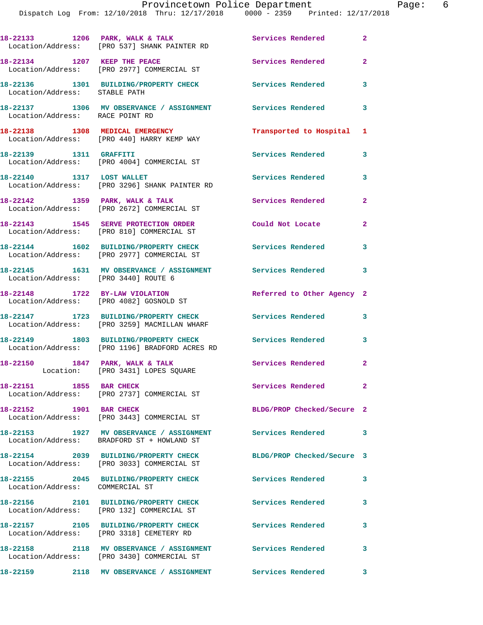Dispatch Log From: 12/10/2018 Thru: 12/17/2018 0000 - 2359 Printed: 12/17/2018

|                                 | 18-22133 1206 PARK, WALK & TALK<br>Location/Address: [PRO 537] SHANK PAINTER RD                          | Services Rendered          | $\mathbf{2}$   |
|---------------------------------|----------------------------------------------------------------------------------------------------------|----------------------------|----------------|
| 18-22134 1207 KEEP THE PEACE    | Location/Address: [PRO 2977] COMMERCIAL ST                                                               | Services Rendered          | $\overline{a}$ |
| Location/Address: STABLE PATH   | 18-22136 1301 BUILDING/PROPERTY CHECK                                                                    | Services Rendered          | 3              |
| Location/Address: RACE POINT RD | 18-22137 1306 MV OBSERVANCE / ASSIGNMENT Services Rendered                                               |                            | 3              |
|                                 | 18-22138 1308 MEDICAL EMERGENCY<br>Location/Address: [PRO 440] HARRY KEMP WAY                            | Transported to Hospital    | 1              |
| 18-22139 1311 GRAFFITI          | Location/Address: [PRO 4004] COMMERCIAL ST                                                               | Services Rendered          | 3              |
| 18-22140   1317   LOST WALLET   | Location/Address: [PRO 3296] SHANK PAINTER RD                                                            | Services Rendered          | 3              |
|                                 | 18-22142 1359 PARK, WALK & TALK<br>Location/Address: [PRO 2672] COMMERCIAL ST                            | Services Rendered          | 2              |
|                                 | 18-22143 1545 SERVE PROTECTION ORDER<br>Location/Address: [PRO 810] COMMERCIAL ST                        | Could Not Locate           | 2              |
|                                 | 18-22144 1602 BUILDING/PROPERTY CHECK<br>Location/Address: [PRO 2977] COMMERCIAL ST                      | Services Rendered          | 3              |
|                                 | 18-22145 1631 MV OBSERVANCE / ASSIGNMENT Services Rendered<br>Location/Address: [PRO 3440] ROUTE 6       |                            | 3              |
|                                 | 18-22148 1722 BY-LAW VIOLATION<br>Location/Address: [PRO 4082] GOSNOLD ST                                | Referred to Other Agency 2 |                |
|                                 | 18-22147 1723 BUILDING/PROPERTY CHECK<br>Location/Address: [PRO 3259] MACMILLAN WHARF                    | <b>Services Rendered</b>   | 3              |
|                                 | 18-22149 1803 BUILDING/PROPERTY CHECK<br>Location/Address: [PRO 1196] BRADFORD ACRES RD                  | <b>Services Rendered</b>   | 3              |
|                                 | 18-22150 1847 PARK, WALK & TALK<br>Location: [PRO 3431] LOPES SQUARE                                     | Services Rendered          | 2              |
| 18-22151 1855 BAR CHECK         | Location/Address: [PRO 2737] COMMERCIAL ST                                                               | Services Rendered          | $\mathbf{2}$   |
| 18-22152 1901 BAR CHECK         | Location/Address: [PRO 3443] COMMERCIAL ST                                                               | BLDG/PROP Checked/Secure 2 |                |
|                                 | 18-22153 1927 MV OBSERVANCE / ASSIGNMENT Services Rendered<br>Location/Address: BRADFORD ST + HOWLAND ST |                            | 3              |
|                                 | 18-22154 2039 BUILDING/PROPERTY CHECK<br>Location/Address: [PRO 3033] COMMERCIAL ST                      | BLDG/PROP Checked/Secure 3 |                |
| Location/Address: COMMERCIAL ST | 18-22155 2045 BUILDING/PROPERTY CHECK                                                                    | Services Rendered          | 3              |
|                                 | 18-22156 2101 BUILDING/PROPERTY CHECK<br>Location/Address: [PRO 132] COMMERCIAL ST                       | Services Rendered          | 3              |
|                                 | 18-22157 2105 BUILDING/PROPERTY CHECK<br>Location/Address: [PRO 3318] CEMETERY RD                        | <b>Services Rendered</b>   | 3              |
|                                 | 18-22158 2118 MV OBSERVANCE / ASSIGNMENT<br>Location/Address: [PRO 3430] COMMERCIAL ST                   | <b>Services Rendered</b>   | 3              |
|                                 |                                                                                                          | Services Rendered          | 3              |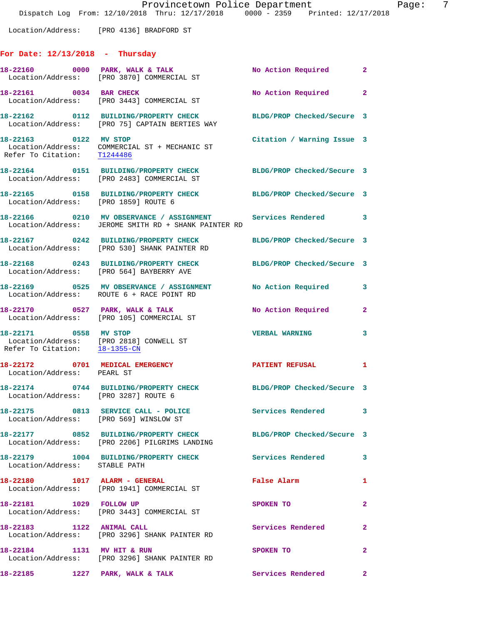Location/Address: [PRO 4136] BRADFORD ST

# **For Date: 12/13/2018 - Thursday**

|                                                        | 18-22160 0000 PARK, WALK & TALK<br>Location/Address: [PRO 3870] COMMERCIAL ST                                        | No Action Required 2       |              |
|--------------------------------------------------------|----------------------------------------------------------------------------------------------------------------------|----------------------------|--------------|
| 18-22161 0034 BAR CHECK                                | Location/Address: [PRO 3443] COMMERCIAL ST                                                                           | No Action Required 2       |              |
|                                                        | 18-22162 0112 BUILDING/PROPERTY CHECK<br>Location/Address: [PRO 75] CAPTAIN BERTIES WAY                              | BLDG/PROP Checked/Secure 3 |              |
| Refer To Citation: T1244486                            | 18-22163 0122 MV STOP<br>Location/Address: COMMERCIAL ST + MECHANIC ST                                               | Citation / Warning Issue 3 |              |
|                                                        | 18-22164 0151 BUILDING/PROPERTY CHECK<br>Location/Address: [PRO 2483] COMMERCIAL ST                                  | BLDG/PROP Checked/Secure 3 |              |
| Location/Address: [PRO 1859] ROUTE 6                   | 18-22165 0158 BUILDING/PROPERTY CHECK                                                                                | BLDG/PROP Checked/Secure 3 |              |
|                                                        | 18-22166 0210 MV OBSERVANCE / ASSIGNMENT Services Rendered 3<br>Location/Address: JEROME SMITH RD + SHANK PAINTER RD |                            |              |
|                                                        | 18-22167 0242 BUILDING/PROPERTY CHECK<br>Location/Address: [PRO 530] SHANK PAINTER RD                                | BLDG/PROP Checked/Secure 3 |              |
|                                                        | 18-22168 0243 BUILDING/PROPERTY CHECK BLDG/PROP Checked/Secure 3<br>Location/Address: [PRO 564] BAYBERRY AVE         |                            |              |
|                                                        | 18-22169 0525 MV OBSERVANCE / ASSIGNMENT<br>Location/Address: ROUTE 6 + RACE POINT RD                                | No Action Required         | 3            |
|                                                        | 18-22170 0527 PARK, WALK & TALK<br>Location/Address: [PRO 105] COMMERCIAL ST                                         | No Action Required         | $\mathbf{2}$ |
| 18-22171 0558 MV STOP<br>Refer To Citation: 18-1355-CN | Location/Address: [PRO 2818] CONWELL ST                                                                              | <b>VERBAL WARNING</b>      | 3            |
| Location/Address: PEARL ST                             | 18-22172 0701 MEDICAL EMERGENCY                                                                                      | PATIENT REFUSAL            | 1            |
| Location/Address: [PRO 3287] ROUTE 6                   | 18-22174 0744 BUILDING/PROPERTY CHECK                                                                                | BLDG/PROP Checked/Secure 3 |              |
|                                                        | 18-22175 0813 SERVICE CALL - POLICE 3 Services Rendered 3<br>Location/Address: [PRO 569] WINSLOW ST                  |                            |              |
|                                                        | 18-22177 0852 BUILDING/PROPERTY CHECK<br>Location/Address: [PRO 2206] PILGRIMS LANDING                               | BLDG/PROP Checked/Secure 3 |              |
| Location/Address: STABLE PATH                          | 18-22179 1004 BUILDING/PROPERTY CHECK Services Rendered                                                              |                            | 3            |
| 18-22180 1017 ALARM - GENERAL                          | Location/Address: [PRO 1941] COMMERCIAL ST                                                                           | False Alarm                | 1            |
| 18-22181 1029 FOLLOW UP                                | Location/Address: [PRO 3443] COMMERCIAL ST                                                                           | SPOKEN TO                  | $\mathbf{2}$ |
| 18-22183 1122 ANIMAL CALL                              | Location/Address: [PRO 3296] SHANK PAINTER RD                                                                        | Services Rendered          | $\mathbf{2}$ |
| 18-22184 1131 MV HIT & RUN                             | Location/Address: [PRO 3296] SHANK PAINTER RD                                                                        | SPOKEN TO                  | $\mathbf{2}$ |
| 18-22185 1227 PARK, WALK & TALK                        |                                                                                                                      | Services Rendered          | $\mathbf{2}$ |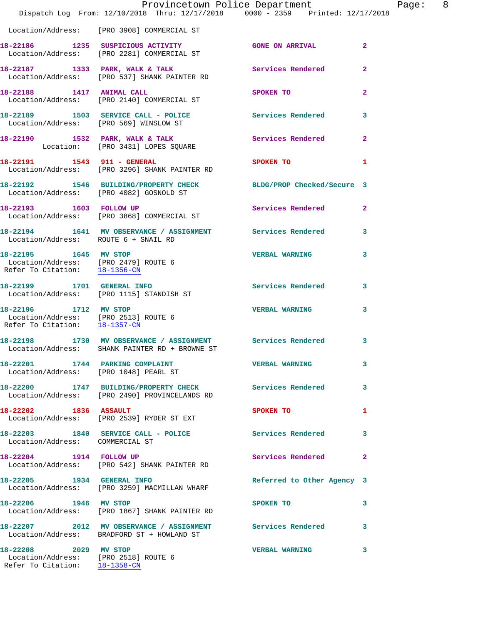|                                                                                                | Provincetown Police Department<br>Dispatch Log From: 12/10/2018 Thru: 12/17/2018 0000 - 2359 Printed: 12/17/2018 |                            | Page: 8        |
|------------------------------------------------------------------------------------------------|------------------------------------------------------------------------------------------------------------------|----------------------------|----------------|
|                                                                                                | Location/Address: [PRO 3908] COMMERCIAL ST                                                                       |                            |                |
|                                                                                                | 18-22186 1235 SUSPICIOUS ACTIVITY GONE ON ARRIVAL<br>Location/Address: [PRO 2281] COMMERCIAL ST                  |                            | $\overline{a}$ |
|                                                                                                | 18-22187 1333 PARK, WALK & TALK Services Rendered<br>Location/Address: [PRO 537] SHANK PAINTER RD                |                            | $\mathbf{2}$   |
|                                                                                                | 18-22188 1417 ANIMAL CALL<br>Location/Address: [PRO 2140] COMMERCIAL ST                                          | SPOKEN TO                  | $\mathbf{2}$   |
|                                                                                                | 18-22189 1503 SERVICE CALL - POLICE Services Rendered<br>Location/Address: [PRO 569] WINSLOW ST                  |                            | 3              |
|                                                                                                | 18-22190 1532 PARK, WALK & TALK<br>Location: [PRO 3431] LOPES SQUARE                                             | Services Rendered 2        |                |
|                                                                                                | 18-22191 1543 911 - GENERAL<br>Location/Address: [PRO 3296] SHANK PAINTER RD                                     | SPOKEN TO                  | 1              |
|                                                                                                | 18-22192 1546 BUILDING/PROPERTY CHECK BLDG/PROP Checked/Secure 3<br>Location/Address: [PRO 4082] GOSNOLD ST      |                            |                |
|                                                                                                | 18-22193 1603 FOLLOW UP<br>Location/Address: [PRO 3868] COMMERCIAL ST                                            | Services Rendered          | $\mathbf{2}$   |
| Location/Address: ROUTE 6 + SNAIL RD                                                           | 18-22194 1641 MV OBSERVANCE / ASSIGNMENT Services Rendered 3                                                     |                            |                |
| 18-22195 1645 MV STOP<br>Location/Address: [PRO 2479] ROUTE 6<br>Refer To Citation: 18-1356-CN |                                                                                                                  | <b>VERBAL WARNING</b>      | 3              |
|                                                                                                | 18-22199 1701 GENERAL INFO<br>Location/Address: [PRO 1115] STANDISH ST                                           | Services Rendered          | 3              |
| Refer To Citation: 18-1357-CN                                                                  |                                                                                                                  | <b>VERBAL WARNING</b>      | 3              |
|                                                                                                | 18-22198 1730 MV OBSERVANCE / ASSIGNMENT Services Rendered<br>Location/Address: SHANK PAINTER RD + BROWNE ST     |                            | 3              |
|                                                                                                | 18-22201 1744 PARKING COMPLAINT WERBAL WARNING<br>Location/Address: [PRO 1048] PEARL ST                          |                            | 3              |
|                                                                                                | 18-22200 1747 BUILDING/PROPERTY CHECK Services Rendered<br>Location/Address: [PRO 2490] PROVINCELANDS RD         |                            | 3              |
|                                                                                                | $18-22202$ 1836 ASSAULT<br>Location/Address: [PRO 2539] RYDER ST EXT                                             | SPOKEN TO                  | 1              |
| Location/Address: COMMERCIAL ST                                                                | 18-22203 1840 SERVICE CALL - POLICE Services Rendered                                                            |                            | 3              |
|                                                                                                | 18-22204 1914 FOLLOW UP<br>Location/Address: [PRO 542] SHANK PAINTER RD                                          | Services Rendered          | 2              |
| 18-22205 1934 GENERAL INFO                                                                     | Location/Address: [PRO 3259] MACMILLAN WHARF                                                                     | Referred to Other Agency 3 |                |
| 18-22206 1946 MV STOP                                                                          | Location/Address: [PRO 1867] SHANK PAINTER RD                                                                    | SPOKEN TO                  | 3              |
|                                                                                                | 18-22207 2012 MV OBSERVANCE / ASSIGNMENT Services Rendered<br>Location/Address: BRADFORD ST + HOWLAND ST         |                            | 3              |
| 18-22208 2029 MV STOP<br>Location/Address: [PRO 2518] ROUTE 6<br>Refer To Citation: 18-1358-CN |                                                                                                                  | <b>VERBAL WARNING</b>      | 3              |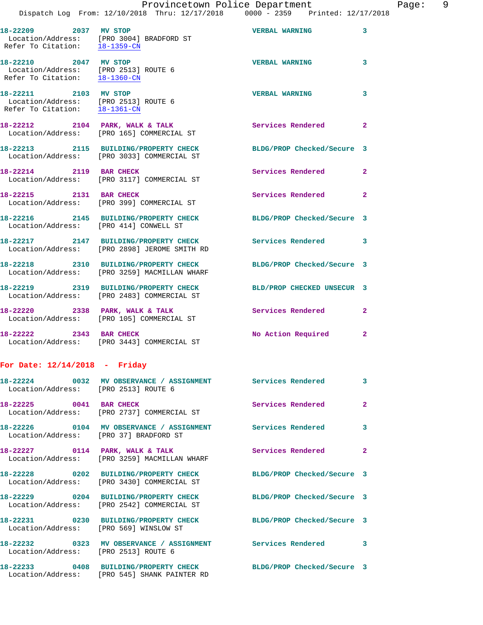| 18-22209 2037 MV STOP                                                                          | Location/Address: [PRO 3004] BRADFORD ST<br>Refer To Citation: $\frac{18-1359-CN}{\ }$               | <b>VERBAL WARNING</b>      | 3              |
|------------------------------------------------------------------------------------------------|------------------------------------------------------------------------------------------------------|----------------------------|----------------|
| 18-22210 2047 MV STOP<br>Location/Address: [PRO 2513] ROUTE 6<br>Refer To Citation: 18-1360-CN |                                                                                                      | <b>VERBAL WARNING</b>      | $\mathbf{3}$   |
| 18-22211 2103 MV STOP<br>Location/Address: [PRO 2513] ROUTE 6<br>Refer To Citation: 18-1361-CN |                                                                                                      | <b>VERBAL WARNING</b>      | 3              |
|                                                                                                | 18-22212 2104 PARK, WALK & TALK<br>Location/Address: [PRO 165] COMMERCIAL ST                         | <b>Services Rendered</b> 2 |                |
|                                                                                                | 18-22213 2115 BUILDING/PROPERTY CHECK<br>Location/Address: [PRO 3033] COMMERCIAL ST                  | BLDG/PROP Checked/Secure 3 |                |
| 18-22214 2119 BAR CHECK                                                                        | Location/Address: [PRO 3117] COMMERCIAL ST                                                           | <b>Services Rendered</b>   | $\mathbf{2}$   |
| 18-22215 2131 BAR CHECK                                                                        | Location/Address: [PRO 399] COMMERCIAL ST                                                            | Services Rendered          | $\overline{2}$ |
|                                                                                                | 18-22216 2145 BUILDING/PROPERTY CHECK<br>Location/Address: [PRO 414] CONWELL ST                      | BLDG/PROP Checked/Secure 3 |                |
|                                                                                                | 18-22217 2147 BUILDING/PROPERTY CHECK<br>Location/Address: [PRO 2898] JEROME SMITH RD                | <b>Services Rendered</b>   | 3              |
|                                                                                                | 18-22218 2310 BUILDING/PROPERTY CHECK<br>Location/Address: [PRO 3259] MACMILLAN WHARF                | BLDG/PROP Checked/Secure 3 |                |
|                                                                                                | 18-22219 2319 BUILDING/PROPERTY CHECK<br>Location/Address: [PRO 2483] COMMERCIAL ST                  | BLD/PROP CHECKED UNSECUR 3 |                |
|                                                                                                | 18-22220 2338 PARK, WALK & TALK<br>Location/Address: [PRO 105] COMMERCIAL ST                         | Services Rendered 2        |                |
| 18-22222 2343 BAR CHECK                                                                        | Location/Address: [PRO 3443] COMMERCIAL ST                                                           | No Action Required 2       |                |
| For Date: $12/14/2018$ - Friday                                                                |                                                                                                      |                            |                |
| Location/Address: [PRO 2513] ROUTE 6                                                           | 18-22224 0032 MV OBSERVANCE / ASSIGNMENT Services Rendered                                           |                            | 3              |
| 18-22225 0041 BAR CHECK                                                                        | Location/Address: [PRO 2737] COMMERCIAL ST                                                           | Services Rendered          | $\mathbf{2}$   |
|                                                                                                | 18-22226 0104 MV OBSERVANCE / ASSIGNMENT Services Rendered<br>Location/Address: [PRO 37] BRADFORD ST |                            | 3              |
|                                                                                                | 18-22227 0114 PARK, WALK & TALK<br>Location/Address: [PRO 3259] MACMILLAN WHARF                      | Services Rendered          | $\mathbf{2}$   |
|                                                                                                | 18-22228 0202 BUILDING/PROPERTY CHECK<br>Location/Address: [PRO 3430] COMMERCIAL ST                  | BLDG/PROP Checked/Secure 3 |                |
|                                                                                                | 18-22229 0204 BUILDING/PROPERTY CHECK<br>Location/Address: [PRO 2542] COMMERCIAL ST                  | BLDG/PROP Checked/Secure 3 |                |

Location/Address: [PRO 569] WINSLOW ST

Location/Address: [PRO 2513] ROUTE 6

Location/Address: [PRO 545] SHANK PAINTER RD

**18-22231 0230 BUILDING/PROPERTY CHECK BLDG/PROP Checked/Secure 3**  18-22232 **0323 MV OBSERVANCE / ASSIGNMENT** Services Rendered 3

**18-22233 0408 BUILDING/PROPERTY CHECK BLDG/PROP Checked/Secure 3**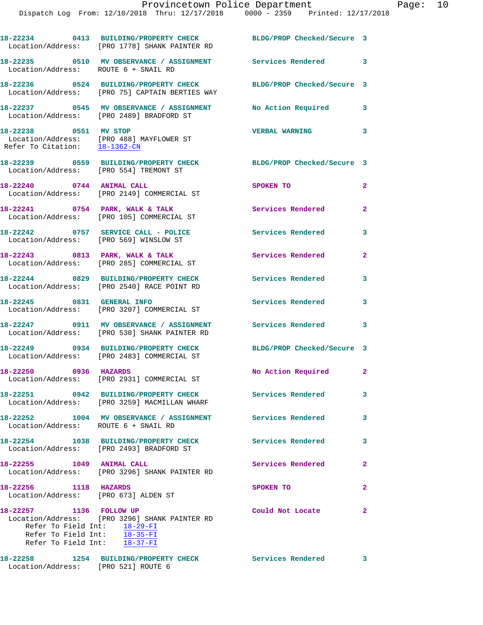|                                                                                           | Dispatch Log From: 12/10/2018 Thru: 12/17/2018 0000 - 2359 Printed: 12/17/2018                                     | Provincetown Police Department |                | Page: 10 |  |
|-------------------------------------------------------------------------------------------|--------------------------------------------------------------------------------------------------------------------|--------------------------------|----------------|----------|--|
|                                                                                           | 18-22234 0413 BUILDING/PROPERTY CHECK BLDG/PROP Checked/Secure 3<br>Location/Address: [PRO 1778] SHANK PAINTER RD  |                                |                |          |  |
| Location/Address: ROUTE 6 + SNAIL RD                                                      | 18-22235 0510 MV OBSERVANCE / ASSIGNMENT Services Rendered                                                         |                                | 3              |          |  |
|                                                                                           | 18-22236 0524 BUILDING/PROPERTY CHECK BLDG/PROP Checked/Secure 3<br>Location/Address: [PRO 75] CAPTAIN BERTIES WAY |                                |                |          |  |
|                                                                                           | 18-22237 0545 MV OBSERVANCE / ASSIGNMENT No Action Required 3<br>Location/Address: [PRO 2489] BRADFORD ST          |                                |                |          |  |
| 18-22238 0551 MV STOP<br>Refer To Citation: 18-1362-CN                                    | Location/Address: [PRO 488] MAYFLOWER ST                                                                           | VERBAL WARNING 3               |                |          |  |
|                                                                                           | 18-22239 0559 BUILDING/PROPERTY CHECK BLDG/PROP Checked/Secure 3<br>Location/Address: [PRO 554] TREMONT ST         |                                |                |          |  |
| 18-22240 0744 ANIMAL CALL                                                                 | Location/Address: [PRO 2149] COMMERCIAL ST                                                                         | SPOKEN TO                      | $\mathbf{2}$   |          |  |
|                                                                                           | 18-22241 0754 PARK, WALK & TALK<br>Location/Address: [PRO 105] COMMERCIAL ST                                       | Services Rendered              | $\mathbf{2}$   |          |  |
|                                                                                           | 18-22242 0757 SERVICE CALL - POLICE Services Rendered<br>Location/Address: [PRO 569] WINSLOW ST                    |                                | 3              |          |  |
|                                                                                           | 18-22243 0813 PARK, WALK & TALK<br>Location/Address: [PRO 285] COMMERCIAL ST                                       | Services Rendered              | $\overline{2}$ |          |  |
|                                                                                           | 18-22244 0829 BUILDING/PROPERTY CHECK Services Rendered<br>Location/Address: [PRO 2540] RACE POINT RD              |                                | 3              |          |  |
|                                                                                           | 18-22245 0831 GENERAL INFO<br>Location/Address: [PRO 3207] COMMERCIAL ST                                           | Services Rendered 3            |                |          |  |
|                                                                                           | 18-22247 0911 MV OBSERVANCE / ASSIGNMENT Services Rendered<br>Location/Address: [PRO 530] SHANK PAINTER RD         |                                | 3              |          |  |
|                                                                                           | 18-22249 0934 BUILDING/PROPERTY CHECK BLDG/PROP Checked/Secure 3<br>Location/Address: [PRO 2483] COMMERCIAL ST     |                                |                |          |  |
| 18-22250 0936 HAZARDS                                                                     | Location/Address: [PRO 2931] COMMERCIAL ST                                                                         | No Action Required             | 2              |          |  |
|                                                                                           | 18-22251 0942 BUILDING/PROPERTY CHECK<br>Location/Address: [PRO 3259] MACMILLAN WHARF                              | <b>Services Rendered</b>       | 3              |          |  |
| Location/Address: ROUTE 6 + SNAIL RD                                                      | 18-22252 1004 MV OBSERVANCE / ASSIGNMENT Services Rendered                                                         |                                | 3              |          |  |
|                                                                                           | 18-22254 1038 BUILDING/PROPERTY CHECK<br>Location/Address: [PRO 2493] BRADFORD ST                                  | <b>Services Rendered</b>       | 3              |          |  |
| 18-22255 1049 ANIMAL CALL                                                                 | Location/Address: [PRO 3296] SHANK PAINTER RD                                                                      | Services Rendered              | $\mathbf{2}$   |          |  |
| 18-22256 1118 HAZARDS                                                                     | Location/Address: [PRO 673] ALDEN ST                                                                               | SPOKEN TO                      | $\mathbf{2}$   |          |  |
| 18-22257 1136 FOLLOW UP<br>Refer To Field Int: $18-29-FI$<br>Refer To Field Int: 18-35-FI | Location/Address: [PRO 3296] SHANK PAINTER RD                                                                      | Could Not Locate               | $\mathbf{2}$   |          |  |

**18-22258 1254 BUILDING/PROPERTY CHECK Services Rendered 3**  Location/Address: [PRO 521] ROUTE 6

Refer To Field Int: 18-37-FI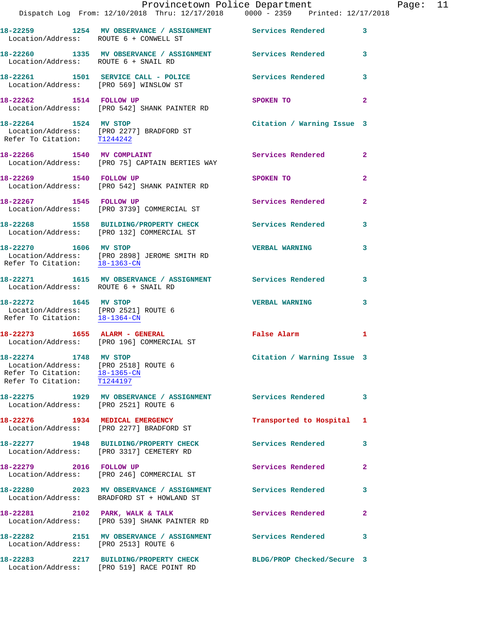|                                                                                                                               | Dispatch Log From: 12/10/2018 Thru: 12/17/2018 0000 - 2359 Printed: 12/17/2018                           | Provincetown Police Department Page: 11 |                |  |
|-------------------------------------------------------------------------------------------------------------------------------|----------------------------------------------------------------------------------------------------------|-----------------------------------------|----------------|--|
| Location/Address: ROUTE 6 + CONWELL ST                                                                                        | 18-22259 1254 MV OBSERVANCE / ASSIGNMENT Services Rendered                                               |                                         | $\mathbf{3}$   |  |
| Location/Address: ROUTE 6 + SNAIL RD                                                                                          | 18-22260 1335 MV OBSERVANCE / ASSIGNMENT Services Rendered 3                                             |                                         |                |  |
|                                                                                                                               | 18-22261 1501 SERVICE CALL - POLICE Services Rendered<br>Location/Address: [PRO 569] WINSLOW ST          |                                         | $\mathbf{3}$   |  |
| 18-22262 1514 FOLLOW UP                                                                                                       | Location/Address: [PRO 542] SHANK PAINTER RD                                                             | SPOKEN TO                               | $\overline{a}$ |  |
| Refer To Citation: T1244242                                                                                                   | 18-22264 1524 MV STOP<br>Location/Address: [PRO 2277] BRADFORD ST                                        | Citation / Warning Issue 3              |                |  |
|                                                                                                                               | 18-22266 1540 MV COMPLAINT<br>Location/Address: [PRO 75] CAPTAIN BERTIES WAY                             | Services Rendered                       | $\mathbf{2}$   |  |
|                                                                                                                               | 18-22269 1540 FOLLOW UP<br>Location/Address: [PRO 542] SHANK PAINTER RD                                  | SPOKEN TO                               | $\overline{2}$ |  |
|                                                                                                                               | 18-22267 1545 FOLLOW UP<br>Location/Address: [PRO 3739] COMMERCIAL ST                                    | Services Rendered                       | $\mathbf{2}$   |  |
|                                                                                                                               | 18-22268 1558 BUILDING/PROPERTY CHECK Services Rendered<br>Location/Address: [PRO 132] COMMERCIAL ST     |                                         | $\mathbf{3}$   |  |
|                                                                                                                               | 18-22270 1606 MV STOP<br>Location/Address: [PRO 2898] JEROME SMITH RD<br>Refer To Citation: 18-1363-CN   | <b>VERBAL WARNING</b>                   | 3              |  |
| Location/Address: ROUTE 6 + SNAIL RD                                                                                          | 18-22271 1615 MV OBSERVANCE / ASSIGNMENT Services Rendered                                               |                                         | 3              |  |
| 18-22272 1645 MV STOP<br>Location/Address: [PRO 2521] ROUTE 6<br>Refer To Citation: 18-1364-CN                                |                                                                                                          | <b>VERBAL WARNING</b>                   | 3              |  |
|                                                                                                                               | 18-22273 1655 ALARM - GENERAL<br>Location/Address: [PRO 196] COMMERCIAL ST                               | False Alarm                             | 1              |  |
| 18-22274 1748 MV STOP<br>Location/Address: [PRO 2518] ROUTE 6<br>Refer To Citation: 18-1365-CN<br>Refer To Citation: T1244197 |                                                                                                          | Citation / Warning Issue 3              |                |  |
| Location/Address: [PRO 2521] ROUTE 6                                                                                          | 18-22275 1929 MV OBSERVANCE / ASSIGNMENT Services Rendered                                               |                                         | 3              |  |
|                                                                                                                               | 18-22276 1934 MEDICAL EMERGENCY<br>Location/Address: [PRO 2277] BRADFORD ST                              | Transported to Hospital 1               |                |  |
|                                                                                                                               | 18-22277 1948 BUILDING/PROPERTY CHECK<br>Location/Address: [PRO 3317] CEMETERY RD                        | <b>Services Rendered</b>                | 3              |  |
| 18-22279 2016 FOLLOW UP                                                                                                       | Location/Address: [PRO 246] COMMERCIAL ST                                                                | Services Rendered                       | $\mathbf{2}$   |  |
|                                                                                                                               | 18-22280 2023 MV OBSERVANCE / ASSIGNMENT Services Rendered<br>Location/Address: BRADFORD ST + HOWLAND ST |                                         | 3              |  |
|                                                                                                                               | 18-22281 2102 PARK, WALK & TALK<br>Location/Address: [PRO 539] SHANK PAINTER RD                          | Services Rendered                       | $\mathbf{2}$   |  |
| Location/Address: [PRO 2513] ROUTE 6                                                                                          | 18-22282 2151 MV OBSERVANCE / ASSIGNMENT Services Rendered                                               |                                         | 3              |  |
|                                                                                                                               | 18-22283 2217 BUILDING/PROPERTY CHECK                                                                    | BLDG/PROP Checked/Secure 3              |                |  |

Location/Address: [PRO 519] RACE POINT RD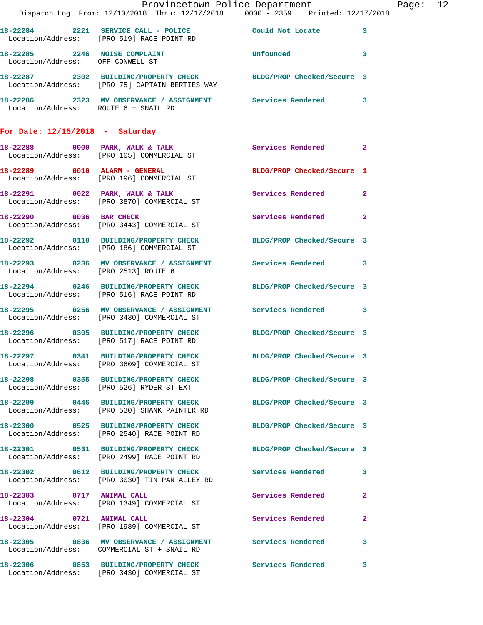|                                      |                                                                                                                    | Provincetown Police Department |              | Page: 12 |  |
|--------------------------------------|--------------------------------------------------------------------------------------------------------------------|--------------------------------|--------------|----------|--|
|                                      | Dispatch Log From: 12/10/2018 Thru: 12/17/2018 0000 - 2359 Printed: 12/17/2018                                     |                                |              |          |  |
|                                      | 18-22284 2221 SERVICE CALL - POLICE Could Not Locate 3<br>Location/Address: [PRO 519] RACE POINT RD                |                                |              |          |  |
| Location/Address: OFF CONWELL ST     | 18-22285 2246 NOISE COMPLAINT COMPONER THE Unfounded 3                                                             |                                |              |          |  |
|                                      | 18-22287 2302 BUILDING/PROPERTY CHECK BLDG/PROP Checked/Secure 3<br>Location/Address: [PRO 75] CAPTAIN BERTIES WAY |                                |              |          |  |
|                                      | 18-22286 2323 MV OBSERVANCE / ASSIGNMENT Services Rendered 3<br>Location/Address: ROUTE 6 + SNAIL RD               |                                |              |          |  |
| For Date: $12/15/2018$ - Saturday    |                                                                                                                    |                                |              |          |  |
|                                      | 18-22288 0000 PARK, WALK & TALK<br>Location/Address: [PRO 105] COMMERCIAL ST                                       | Services Rendered 2            |              |          |  |
|                                      | 18-22289 0010 ALARM - GENERAL<br>Location/Address: [PRO 196] COMMERCIAL ST                                         | BLDG/PROP Checked/Secure 1     |              |          |  |
|                                      | 18-22291 0022 PARK, WALK & TALK Services Rendered 2<br>Location/Address: [PRO 3870] COMMERCIAL ST                  |                                |              |          |  |
|                                      | 18-22290 0036 BAR CHECK<br>Location/Address: [PRO 3443] COMMERCIAL ST                                              | Services Rendered 2            |              |          |  |
|                                      | 18-22292 0110 BUILDING/PROPERTY CHECK BLDG/PROP Checked/Secure 3<br>Location/Address: [PRO 186] COMMERCIAL ST      |                                |              |          |  |
| Location/Address: [PRO 2513] ROUTE 6 | 18-22293 0236 MV OBSERVANCE / ASSIGNMENT Services Rendered 3                                                       |                                |              |          |  |
|                                      | 18-22294 0246 BUILDING/PROPERTY CHECK BLDG/PROP Checked/Secure 3<br>Location/Address: [PRO 516] RACE POINT RD      |                                |              |          |  |
|                                      | 18-22295 0256 MV OBSERVANCE / ASSIGNMENT Services Rendered 3<br>Location/Address: [PRO 3430] COMMERCIAL ST         |                                |              |          |  |
|                                      | 18-22296 0305 BUILDING/PROPERTY CHECK BLDG/PROP Checked/Secure 3<br>Location/Address: [PRO 517] RACE POINT RD      |                                |              |          |  |
|                                      | 18-22297 0341 BUILDING/PROPERTY CHECK<br>Location/Address: [PRO 3609] COMMERCIAL ST                                | BLDG/PROP Checked/Secure 3     |              |          |  |
|                                      | 18-22298 0355 BUILDING/PROPERTY CHECK BLDG/PROP Checked/Secure 3<br>Location/Address: [PRO 526] RYDER ST EXT       |                                |              |          |  |
|                                      | 18-22299 0446 BUILDING/PROPERTY CHECK<br>Location/Address: [PRO 530] SHANK PAINTER RD                              | BLDG/PROP Checked/Secure 3     |              |          |  |
|                                      | 18-22300 0525 BUILDING/PROPERTY CHECK BLDG/PROP Checked/Secure 3<br>Location/Address: [PRO 2540] RACE POINT RD     |                                |              |          |  |
|                                      | 18-22301 0531 BUILDING/PROPERTY CHECK BLDG/PROP Checked/Secure 3<br>Location/Address: [PRO 2499] RACE POINT RD     |                                |              |          |  |
|                                      | 18-22302 0612 BUILDING/PROPERTY CHECK Services Rendered<br>Location/Address: [PRO 3030] TIN PAN ALLEY RD           |                                | $\mathbf{3}$ |          |  |
| 18-22303 0717 ANIMAL CALL            | Location/Address: [PRO 1349] COMMERCIAL ST                                                                         | Services Rendered              | $\mathbf{2}$ |          |  |
|                                      | 18-22304 0721 ANIMAL CALL<br>Location/Address: [PRO 1989] COMMERCIAL ST                                            | Services Rendered              | $\mathbf{2}$ |          |  |
|                                      | 18-22305 0836 MV OBSERVANCE / ASSIGNMENT Services Rendered 3<br>Location/Address: COMMERCIAL ST + SNAIL RD         |                                |              |          |  |
|                                      | 18-22306 0853 BUILDING/PROPERTY CHECK Services Rendered<br>Location/Address: [PRO 3430] COMMERCIAL ST              |                                | $\mathbf{3}$ |          |  |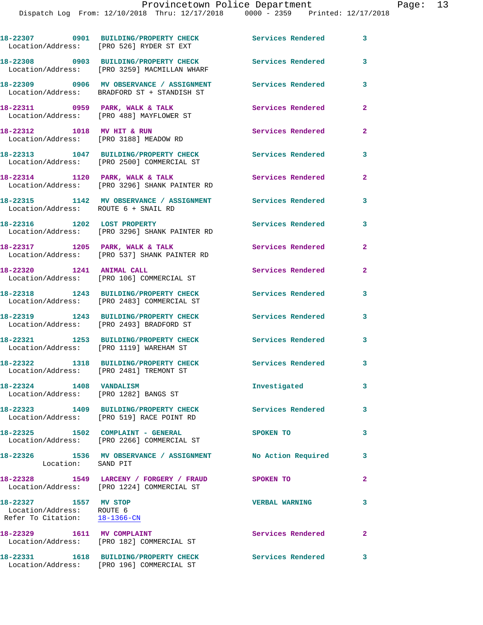|                                                                                     | 18-22307 0901 BUILDING/PROPERTY CHECK<br>Location/Address: [PRO 526] RYDER ST EXT       | <b>Services Rendered</b> | 3              |
|-------------------------------------------------------------------------------------|-----------------------------------------------------------------------------------------|--------------------------|----------------|
|                                                                                     | 18-22308 0903 BUILDING/PROPERTY CHECK<br>Location/Address: [PRO 3259] MACMILLAN WHARF   | Services Rendered        | 3              |
|                                                                                     | 18-22309 0906 MV OBSERVANCE / ASSIGNMENT<br>Location/Address: BRADFORD ST + STANDISH ST | <b>Services Rendered</b> | 3              |
|                                                                                     | 18-22311 0959 PARK, WALK & TALK<br>Location/Address: [PRO 488] MAYFLOWER ST             | Services Rendered        | $\mathbf{2}$   |
| 18-22312 1018 MV HIT & RUN                                                          | Location/Address: [PRO 3188] MEADOW RD                                                  | Services Rendered        | $\mathbf{2}$   |
|                                                                                     | 18-22313 1047 BUILDING/PROPERTY CHECK<br>Location/Address: [PRO 2500] COMMERCIAL ST     | Services Rendered        | 3              |
|                                                                                     | 18-22314 1120 PARK, WALK & TALK<br>Location/Address: [PRO 3296] SHANK PAINTER RD        | <b>Services Rendered</b> | $\overline{2}$ |
| Location/Address: ROUTE 6 + SNAIL RD                                                | 18-22315 1142 MV OBSERVANCE / ASSIGNMENT Services Rendered                              |                          | 3              |
| 18-22316 1202 LOST PROPERTY                                                         | Location/Address: [PRO 3296] SHANK PAINTER RD                                           | <b>Services Rendered</b> | 3              |
|                                                                                     | 18-22317 1205 PARK, WALK & TALK<br>Location/Address: [PRO 537] SHANK PAINTER RD         | Services Rendered        | $\mathbf{2}$   |
| 18-22320 1241 ANIMAL CALL                                                           | Location/Address: [PRO 106] COMMERCIAL ST                                               | Services Rendered        | $\mathbf{2}$   |
|                                                                                     | 18-22318 1243 BUILDING/PROPERTY CHECK<br>Location/Address: [PRO 2483] COMMERCIAL ST     | <b>Services Rendered</b> | 3              |
|                                                                                     | 18-22319 1243 BUILDING/PROPERTY CHECK<br>Location/Address: [PRO 2493] BRADFORD ST       | <b>Services Rendered</b> | 3              |
|                                                                                     | 18-22321 1253 BUILDING/PROPERTY CHECK<br>Location/Address: [PRO 1119] WAREHAM ST        | Services Rendered        | 3              |
|                                                                                     | 18-22322 1318 BUILDING/PROPERTY CHECK<br>Location/Address: [PRO 2481] TREMONT ST        | Services Rendered        | 3              |
| 18-22324 1408 VANDALISM<br>Location/Address: [PRO 1282] BANGS ST                    |                                                                                         | Investigated             | 3              |
|                                                                                     | 18-22323 1409 BUILDING/PROPERTY CHECK<br>Location/Address: [PRO 519] RACE POINT RD      | Services Rendered        | 3              |
|                                                                                     | 18-22325 1502 COMPLAINT - GENERAL<br>Location/Address: [PRO 2266] COMMERCIAL ST         | SPOKEN TO                | 3              |
| Location: SAND PIT                                                                  | 18-22326 1536 MV OBSERVANCE / ASSIGNMENT                                                | No Action Required       | 3              |
|                                                                                     | 18-22328 1549 LARCENY / FORGERY / FRAUD<br>Location/Address: [PRO 1224] COMMERCIAL ST   | SPOKEN TO                | 2              |
| 18-22327 1557 MV STOP<br>Location/Address: ROUTE 6<br>Refer To Citation: 18-1366-CN |                                                                                         | <b>VERBAL WARNING</b>    | 3              |
| 18-22329 1611 MV COMPLAINT                                                          | Location/Address: [PRO 182] COMMERCIAL ST                                               | Services Rendered        | $\mathbf{2}$   |
|                                                                                     | 18-22331 1618 BUILDING/PROPERTY CHECK                                                   | Services Rendered        | 3              |

Location/Address: [PRO 196] COMMERCIAL ST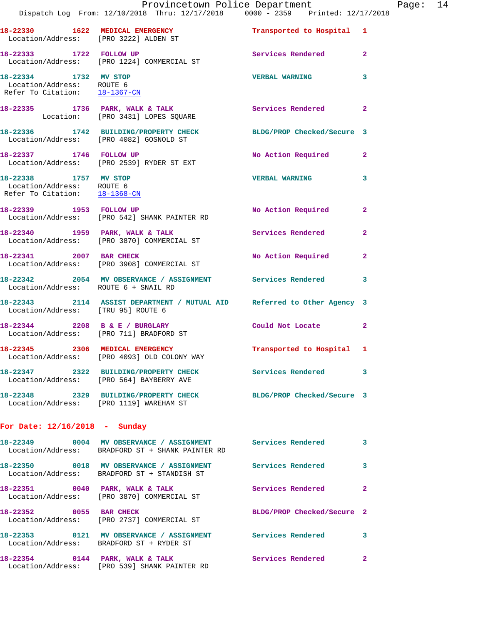|                                                                                     | Dispatch Log From: 12/10/2018 Thru: 12/17/2018 0000 - 2359 Printed: 12/17/2018                                   | Provincetown Police Department |                         | Page: 14 |  |
|-------------------------------------------------------------------------------------|------------------------------------------------------------------------------------------------------------------|--------------------------------|-------------------------|----------|--|
|                                                                                     | 18-22330 1622 MEDICAL EMERGENCY<br>Location/Address: [PRO 3222] ALDEN ST                                         | Transported to Hospital 1      |                         |          |  |
| 18-22333 1722 FOLLOW UP                                                             | Location/Address: [PRO 1224] COMMERCIAL ST                                                                       | Services Rendered 2            |                         |          |  |
| 18-22334 1732 MV STOP<br>Location/Address: ROUTE 6<br>Refer To Citation: 18-1367-CN |                                                                                                                  | <b>VERBAL WARNING</b>          | $\overline{\mathbf{3}}$ |          |  |
|                                                                                     | 18-22335 1736 PARK, WALK & TALK<br>Location: [PRO 3431] LOPES SQUARE                                             | Services Rendered              | $\mathbf{2}$            |          |  |
|                                                                                     | 18-22336 1742 BUILDING/PROPERTY CHECK BLDG/PROP Checked/Secure 3<br>Location/Address: [PRO 4082] GOSNOLD ST      |                                |                         |          |  |
|                                                                                     | 18-22337 1746 FOLLOW UP<br>Location/Address: [PRO 2539] RYDER ST EXT                                             | No Action Required 2           |                         |          |  |
| 18-22338 1757 MV STOP<br>Location/Address: ROUTE 6<br>Refer To Citation: 18-1368-CN |                                                                                                                  | VERBAL WARNING 3               |                         |          |  |
|                                                                                     | 18-22339 1953 FOLLOW UP<br>Location/Address: [PRO 542] SHANK PAINTER RD                                          | No Action Required 2           |                         |          |  |
|                                                                                     | 18-22340 1959 PARK, WALK & TALK<br>Location/Address: [PRO 3870] COMMERCIAL ST                                    | Services Rendered              | $\mathbf{2}$            |          |  |
|                                                                                     | 18-22341 2007 BAR CHECK<br>Location/Address: [PRO 3908] COMMERCIAL ST                                            | No Action Required 2           |                         |          |  |
| Location/Address: ROUTE 6 + SNAIL RD                                                | 18-22342 2054 MV OBSERVANCE / ASSIGNMENT Services Rendered                                                       |                                | 3                       |          |  |
| Location/Address: [TRU 95] ROUTE 6                                                  | 18-22343 2114 ASSIST DEPARTMENT / MUTUAL AID Referred to Other Agency 3                                          |                                |                         |          |  |
|                                                                                     | 18-22344 2208 B & E / BURGLARY<br>Location/Address: [PRO 711] BRADFORD ST                                        | Could Not Locate               | $\mathbf{2}$            |          |  |
|                                                                                     | 18-22345 2306 MEDICAL EMERGENCY<br>Location/Address: [PRO 4093] OLD COLONY WAY                                   | Transported to Hospital 1      |                         |          |  |
|                                                                                     | 18-22347 2322 BUILDING/PROPERTY CHECK Services Rendered 3<br>Location/Address: [PRO 564] BAYBERRY AVE            |                                |                         |          |  |
|                                                                                     | 18-22348 2329 BUILDING/PROPERTY CHECK BLDG/PROP Checked/Secure 3<br>Location/Address: [PRO 1119] WAREHAM ST      |                                |                         |          |  |
| For Date: $12/16/2018$ - Sunday                                                     |                                                                                                                  |                                |                         |          |  |
|                                                                                     | 18-22349 0004 MV OBSERVANCE / ASSIGNMENT Services Rendered 3<br>Location/Address: BRADFORD ST + SHANK PAINTER RD |                                |                         |          |  |
|                                                                                     | 18-22350 0018 MV OBSERVANCE / ASSIGNMENT Services Rendered 3<br>Location/Address: BRADFORD ST + STANDISH ST      |                                |                         |          |  |
|                                                                                     | 18-22351 0040 PARK, WALK & TALK 3 Services Rendered 2<br>Location/Address: [PRO 3870] COMMERCIAL ST              |                                |                         |          |  |
| 18-22352 0055 BAR CHECK                                                             | Location/Address: [PRO 2737] COMMERCIAL ST                                                                       | BLDG/PROP Checked/Secure 2     |                         |          |  |
|                                                                                     | 18-22353 0121 MV OBSERVANCE / ASSIGNMENT Services Rendered 3<br>Location/Address: BRADFORD ST + RYDER ST         |                                |                         |          |  |
|                                                                                     | 18-22354 0144 PARK, WALK & TALK<br>Location/Address: [PRO 539] SHANK PAINTER RD                                  | Services Rendered 2            |                         |          |  |
|                                                                                     |                                                                                                                  |                                |                         |          |  |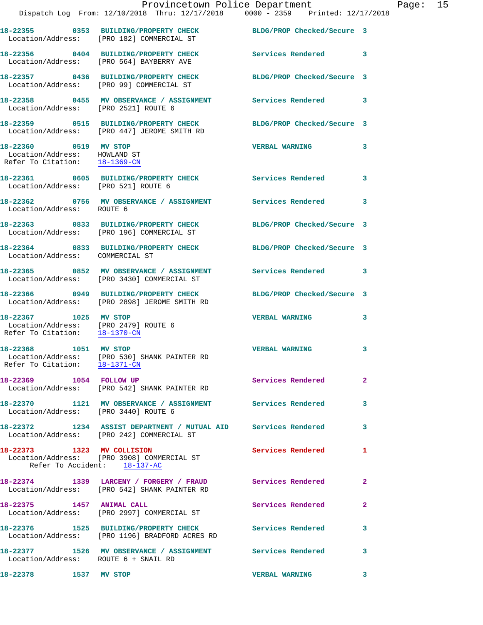|                                                                                                     | Provincetown Police Department<br>Dispatch Log From: 12/10/2018 Thru: 12/17/2018 0000 - 2359 Printed: 12/17/2018 |                            |              |
|-----------------------------------------------------------------------------------------------------|------------------------------------------------------------------------------------------------------------------|----------------------------|--------------|
|                                                                                                     | 18-22355 0353 BUILDING/PROPERTY CHECK BLDG/PROP Checked/Secure 3<br>Location/Address: [PRO 182] COMMERCIAL ST    |                            |              |
|                                                                                                     | 18-22356 0404 BUILDING/PROPERTY CHECK<br>Location/Address: [PRO 564] BAYBERRY AVE                                | <b>Services Rendered</b>   | 3            |
|                                                                                                     | 18-22357 0436 BUILDING/PROPERTY CHECK<br>Location/Address: [PRO 99] COMMERCIAL ST                                | BLDG/PROP Checked/Secure 3 |              |
| Location/Address: [PRO 2521] ROUTE 6                                                                | 18-22358 0455 MV OBSERVANCE / ASSIGNMENT Services Rendered                                                       |                            | 3            |
|                                                                                                     | 18-22359 0515 BUILDING/PROPERTY CHECK<br>Location/Address: [PRO 447] JEROME SMITH RD                             | BLDG/PROP Checked/Secure 3 |              |
| 18-22360 0519 MV STOP<br>Location/Address: HOWLAND ST<br>Refer To Citation: $\frac{18-1369-CN}{28}$ |                                                                                                                  | <b>VERBAL WARNING</b>      | 3            |
| Location/Address: [PRO 521] ROUTE 6                                                                 | 18-22361 0605 BUILDING/PROPERTY CHECK Services Rendered                                                          |                            | 3            |
| Location/Address: ROUTE 6                                                                           | 18-22362 0756 MV OBSERVANCE / ASSIGNMENT Services Rendered                                                       |                            | 3            |
|                                                                                                     | 18-22363 0833 BUILDING/PROPERTY CHECK<br>Location/Address: [PRO 196] COMMERCIAL ST                               | BLDG/PROP Checked/Secure 3 |              |
| Location/Address: COMMERCIAL ST                                                                     | 18-22364 0833 BUILDING/PROPERTY CHECK                                                                            | BLDG/PROP Checked/Secure 3 |              |
|                                                                                                     | 18-22365 0852 MV OBSERVANCE / ASSIGNMENT Services Rendered<br>Location/Address: [PRO 3430] COMMERCIAL ST         |                            | 3            |
|                                                                                                     | 18-22366 0949 BUILDING/PROPERTY CHECK<br>Location/Address: [PRO 2898] JEROME SMITH RD                            | BLDG/PROP Checked/Secure 3 |              |
| 18-22367 1025 MV STOP<br>Location/Address: [PRO 2479] ROUTE 6<br>Refer To Citation: 18-1370-CN      |                                                                                                                  | <b>VERBAL WARNING</b>      | 3            |
| 1051 MV STOP<br>18-22368<br>Refer To Citation: 18-1371-CN                                           | Location/Address: [PRO 530] SHANK PAINTER RD                                                                     | <b>VERBAL WARNING</b>      | 3            |
| 18-22369 1054 FOLLOW UP                                                                             | Location/Address: [PRO 542] SHANK PAINTER RD                                                                     | Services Rendered          | $\mathbf{2}$ |
| Location/Address: [PRO 3440] ROUTE 6                                                                | 18-22370 1121 MV OBSERVANCE / ASSIGNMENT Services Rendered                                                       |                            | 3            |
|                                                                                                     | 18-22372 1234 ASSIST DEPARTMENT / MUTUAL AID Services Rendered<br>Location/Address: [PRO 242] COMMERCIAL ST      |                            | 3            |
|                                                                                                     | 18-22373 1323 MV COLLISION<br>Location/Address: [PRO 3908] COMMERCIAL ST<br>Refer To Accident: 18-137-AC         | <b>Services Rendered</b>   | 1            |
|                                                                                                     | 18-22374 1339 LARCENY / FORGERY / FRAUD Services Rendered<br>Location/Address: [PRO 542] SHANK PAINTER RD        |                            | $\mathbf{2}$ |
|                                                                                                     | Location/Address: [PRO 2997] COMMERCIAL ST                                                                       | Services Rendered          | 2            |
|                                                                                                     | 18-22376 1525 BUILDING/PROPERTY CHECK<br>Location/Address: [PRO 1196] BRADFORD ACRES RD                          | Services Rendered          | 3            |
| Location/Address: ROUTE 6 + SNAIL RD                                                                | 18-22377 1526 MV OBSERVANCE / ASSIGNMENT                                                                         | Services Rendered          | 3            |
| 18-22378                                                                                            | 1537 MV STOP                                                                                                     | <b>VERBAL WARNING</b>      | 3            |

Page:  $15$ <br>018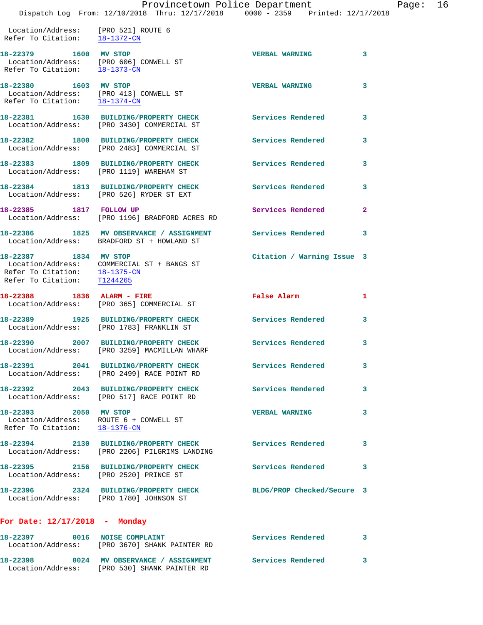## Provincetown Police Department Fage: 16

Dispatch Log From: 12/10/2018 Thru: 12/17/2018 0000 - 2359 Printed: 12/17/2018

 Location/Address: [PRO 521] ROUTE 6 Refer To Citation: 18-1372-CN

**18-22379 1600 MV STOP VERBAL WARNING 3**  Location/Address: [PRO 606] CONWELL ST Refer To Citation: 18-1373-CN **18-22380 1603 MV STOP VERBAL WARNING 3**  Location/Address: [PRO 413] CONWELL ST Refer To Citation: 18-1374-CN **18-22381 1630 BUILDING/PROPERTY CHECK Services Rendered 3**  Location/Address: [PRO 3430] COMMERCIAL ST **18-22382 1800 BUILDING/PROPERTY CHECK Services Rendered 3**  Location/Address: [PRO 2483] COMMERCIAL ST **18-22383 1809 BUILDING/PROPERTY CHECK Services Rendered 3**  Location/Address: [PRO 1119] WAREHAM ST **18-22384 1813 BUILDING/PROPERTY CHECK Services Rendered 3** 

 Location/Address: [PRO 526] RYDER ST EXT **18-22385 1817 FOLLOW UP Services Rendered 2**  Location/Address: [PRO 1196] BRADFORD ACRES RD

**18-22386 1825 MV OBSERVANCE / ASSIGNMENT Services Rendered 3**  Location/Address: BRADFORD ST + HOWLAND ST

**18-22387 1834 MV STOP Citation / Warning Issue 3**  Location/Address: COMMERCIAL ST + BANGS ST Refer To Citation: 18-1375-CN Refer To Citation: T1244265

**18-22388 1836 ALARM - FIRE False Alarm 1**  Location/Address: [PRO 365] COMMERCIAL ST **18-22389 1925 BUILDING/PROPERTY CHECK Services Rendered 3**  Location/Address: [PRO 1783] FRANKLIN ST **18-22390 2007 BUILDING/PROPERTY CHECK Services Rendered 3** 

 Location/Address: [PRO 3259] MACMILLAN WHARF **18-22391 2041 BUILDING/PROPERTY CHECK Services Rendered 3**  Location/Address: [PRO 2499] RACE POINT RD **18-22392 2043 BUILDING/PROPERTY CHECK Services Rendered 3** 

 Location/Address: [PRO 517] RACE POINT RD **18-22393 2050 MV STOP VERBAL WARNING 3** 

 Location/Address: ROUTE 6 + CONWELL ST Refer To Citation: 18-1376-CN

**18-22394 2130 BUILDING/PROPERTY CHECK Services Rendered 3**  Location/Address: [PRO 2206] PILGRIMS LANDING

**18-22395 2156 BUILDING/PROPERTY CHECK Services Rendered 3**  Location/Address: [PRO 2520] PRINCE ST

**18-22396 2324 BUILDING/PROPERTY CHECK BLDG/PROP Checked/Secure 3**  Location/Address: [PRO 1780] JOHNSON ST

### **For Date: 12/17/2018 - Monday**

| 18-22397<br>Location/Address: | 0016 NOISE COMPLAINT<br>[PRO 3670] SHANK PAINTER RD           | Services Rendered |  |
|-------------------------------|---------------------------------------------------------------|-------------------|--|
| 18-22398<br>Location/Address: | 0024 MV OBSERVANCE / ASSIGNMENT<br>[PRO 530] SHANK PAINTER RD | Services Rendered |  |